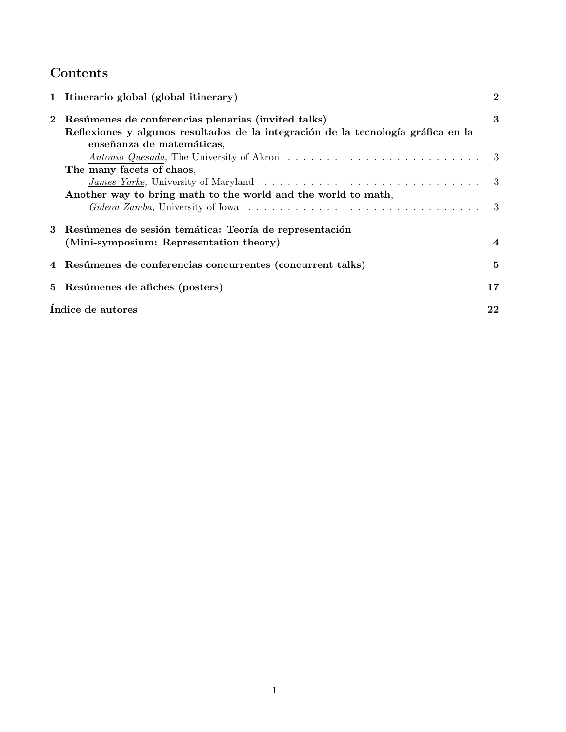# Contents

|          | 1 Itinerario global (global itinerary)                                            | $\bf{2}$       |
|----------|-----------------------------------------------------------------------------------|----------------|
| $\bf{2}$ | Resúmenes de conferencias plenarias (invited talks)                               | 3              |
|          | Reflexiones y algunos resultados de la integración de la tecnología gráfica en la |                |
|          | enseñanza de matemáticas,                                                         |                |
|          |                                                                                   |                |
|          | The many facets of chaos,                                                         |                |
|          |                                                                                   |                |
|          | Another way to bring math to the world and the world to math,                     |                |
|          |                                                                                   |                |
|          | 3 Resúmenes de sesión temática: Teoría de representación                          |                |
|          | (Mini-symposium: Representation theory)                                           | $\overline{4}$ |
|          | 4 Resúmenes de conferencias concurrentes (concurrent talks)                       | 5              |
|          | 5 Resúmenes de afiches (posters)                                                  | 17             |
|          | Indice de autores                                                                 | 22             |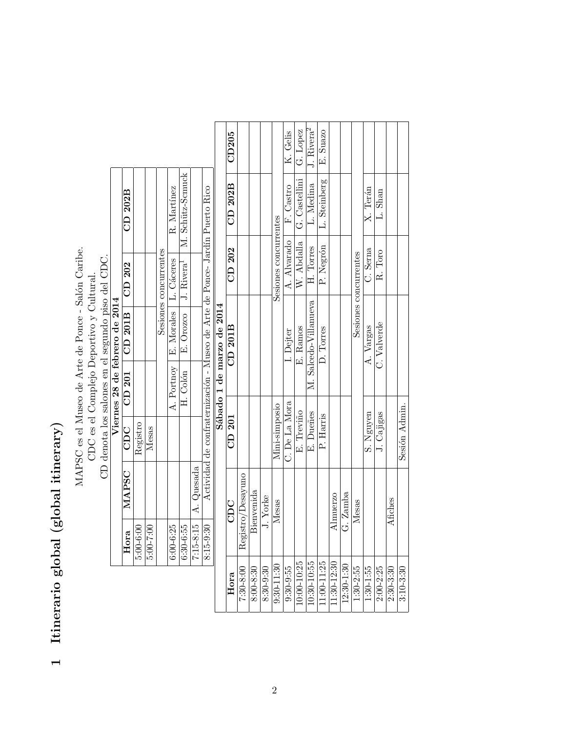# Itinerario global (global itinerary) 1 Itinerario global (global itinerary)  $\overline{a}$

MAPSC es el Museo de Arte de Ponce - Salón Caribe. MAPSC es el Museo de Arte de Ponce - Salón Caribe.  $CD$  denota los salones en el segundo piso del CDC.<br>Viernes 28 de febrero de 2014 CD denota los salones en el segundo piso del CDC. CDC es el Complejo Deportivo y Cultural. CDC es el Complejo Deportivo y Cultural.

|                               | CD 202B                                                       |             |           |                       | R. Martínez                          | H. Colón   E. Orozco   J. Rivera <sup>1</sup>   M. Schütz-Scmuck |                          | Actividad de confraternización - Museo de Arte de Ponce- Jardín Puerto Rico |  |
|-------------------------------|---------------------------------------------------------------|-------------|-----------|-----------------------|--------------------------------------|------------------------------------------------------------------|--------------------------|-----------------------------------------------------------------------------|--|
|                               |                                                               |             |           | Sesiones concurrentes |                                      |                                                                  |                          |                                                                             |  |
| Viernes 28 de febrero de 2014 | CDC $\parallel$ CD 201 $\parallel$ CD 201B $\parallel$ CD 202 |             |           |                       | A. Portnoy   E. Morales   L. Cáceres |                                                                  |                          |                                                                             |  |
|                               |                                                               |             |           |                       |                                      |                                                                  |                          |                                                                             |  |
|                               |                                                               | Registro    | Mesas     |                       |                                      |                                                                  |                          |                                                                             |  |
|                               | MAPSC                                                         |             |           |                       |                                      |                                                                  | $7:15-8:15$   A. Quesada |                                                                             |  |
|                               | Hora                                                          | $5:00-6:00$ | 5:00-7:00 |                       | $6:00 - 6:25$                        | $6:30-6:55$                                                      |                          | 8:15-9:30                                                                   |  |

| CDC               | CD 201        | Sábado 1 de marzo de 2014<br>CD 201B | CD 202                | CD 202B       | CD205                                |
|-------------------|---------------|--------------------------------------|-----------------------|---------------|--------------------------------------|
| Registro/Desayuno |               |                                      |                       |               |                                      |
| Bienvenida        |               |                                      |                       |               |                                      |
| J. Yorke          |               |                                      |                       |               |                                      |
| Mesas             | Mini-simposio |                                      | Sesiones concurrentes |               |                                      |
|                   | C. De La Mora | I. Dejter                            | A. Alvarado           | F. Castro     | K. Gelis                             |
|                   | E. Treviño    | E. Ramos                             | W. Abdalla            | G. Castellini | G. Lopez                             |
|                   | E. Dueñes     | M. Salcedo-Villanueva                | H. Torres             | L. Medina     | $\overline{J}$ . Rivera <sup>2</sup> |
|                   | P. Harris     | D. Torres                            | P. Negrón             | L. Steinberg  | E. Suazo                             |
| Almuerzo          |               |                                      |                       |               |                                      |
| G. Zamba          |               |                                      |                       |               |                                      |
| Mesas             |               |                                      | Sesiones concurrentes |               |                                      |
|                   | S. Nguyen     | A. Vargas                            | C. Serna              | X. Terán      |                                      |
|                   | J. Cajigas    | C. Valverde                          | R. Toro               | L. Shan       |                                      |
| Afiches           |               |                                      |                       |               |                                      |
|                   | Sesión Admin. |                                      |                       |               |                                      |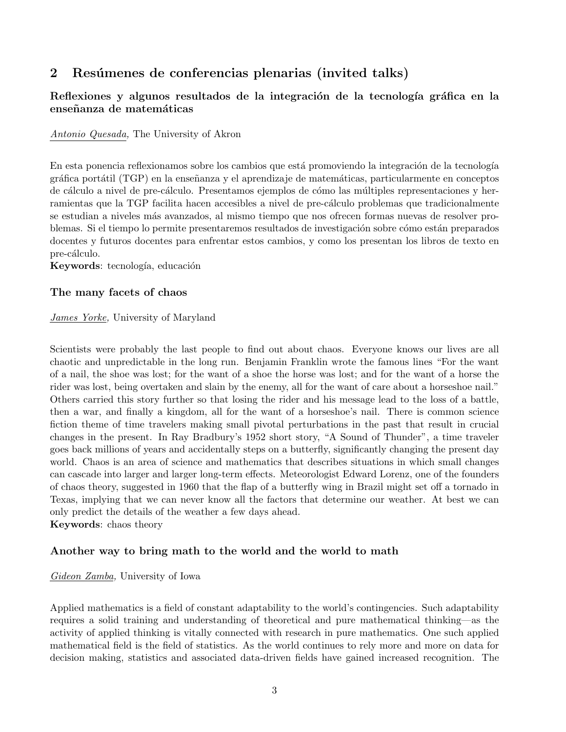# 2 Resúmenes de conferencias plenarias (invited talks)

## Reflexiones y algunos resultados de la integración de la tecnología gráfica en la enseñanza de matemáticas

### Antonio Quesada, The University of Akron

En esta ponencia reflexionamos sobre los cambios que está promoviendo la integración de la tecnología gráfica portátil (TGP) en la enseñanza y el aprendizaje de matemáticas, particularmente en conceptos de cálculo a nivel de pre-cálculo. Presentamos ejemplos de cómo las múltiples representaciones y herramientas que la TGP facilita hacen accesibles a nivel de pre-cálculo problemas que tradicionalmente se estudian a niveles m´as avanzados, al mismo tiempo que nos ofrecen formas nuevas de resolver problemas. Si el tiempo lo permite presentaremos resultados de investigación sobre cómo están preparados docentes y futuros docentes para enfrentar estos cambios, y como los presentan los libros de texto en pre-cálculo.

Keywords: tecnología, educación

## The many facets of chaos

## James Yorke, University of Maryland

Scientists were probably the last people to find out about chaos. Everyone knows our lives are all chaotic and unpredictable in the long run. Benjamin Franklin wrote the famous lines "For the want of a nail, the shoe was lost; for the want of a shoe the horse was lost; and for the want of a horse the rider was lost, being overtaken and slain by the enemy, all for the want of care about a horseshoe nail." Others carried this story further so that losing the rider and his message lead to the loss of a battle, then a war, and finally a kingdom, all for the want of a horseshoe's nail. There is common science fiction theme of time travelers making small pivotal perturbations in the past that result in crucial changes in the present. In Ray Bradbury's 1952 short story, "A Sound of Thunder", a time traveler goes back millions of years and accidentally steps on a butterfly, significantly changing the present day world. Chaos is an area of science and mathematics that describes situations in which small changes can cascade into larger and larger long-term effects. Meteorologist Edward Lorenz, one of the founders of chaos theory, suggested in 1960 that the flap of a butterfly wing in Brazil might set off a tornado in Texas, implying that we can never know all the factors that determine our weather. At best we can only predict the details of the weather a few days ahead.

Keywords: chaos theory

## Another way to bring math to the world and the world to math

## Gideon Zamba, University of Iowa

Applied mathematics is a field of constant adaptability to the world's contingencies. Such adaptability requires a solid training and understanding of theoretical and pure mathematical thinking—as the activity of applied thinking is vitally connected with research in pure mathematics. One such applied mathematical field is the field of statistics. As the world continues to rely more and more on data for decision making, statistics and associated data-driven fields have gained increased recognition. The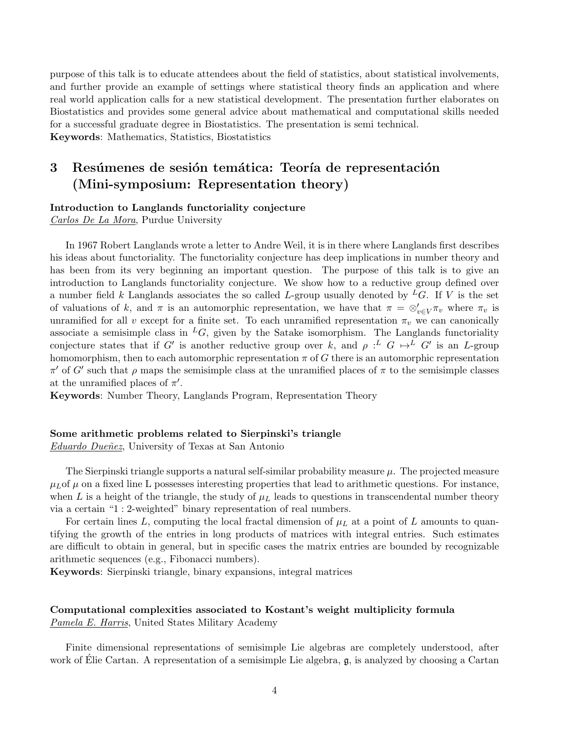purpose of this talk is to educate attendees about the field of statistics, about statistical involvements, and further provide an example of settings where statistical theory finds an application and where real world application calls for a new statistical development. The presentation further elaborates on Biostatistics and provides some general advice about mathematical and computational skills needed for a successful graduate degree in Biostatistics. The presentation is semi technical. Keywords: Mathematics, Statistics, Biostatistics

# 3 Resúmenes de sesión temática: Teoría de representación (Mini-symposium: Representation theory)

#### Introduction to Langlands functoriality conjecture

Carlos De La Mora, Purdue University

In 1967 Robert Langlands wrote a letter to Andre Weil, it is in there where Langlands first describes his ideas about functoriality. The functoriality conjecture has deep implications in number theory and has been from its very beginning an important question. The purpose of this talk is to give an introduction to Langlands functoriality conjecture. We show how to a reductive group defined over a number field k Langlands associates the so called L-group usually denoted by <sup>L</sup>G. If V is the set of valuations of k, and  $\pi$  is an automorphic representation, we have that  $\pi = \otimes_{v \in V}^{\prime} \pi_v$  where  $\pi_v$  is unramified for all v except for a finite set. To each unramified representation  $\pi_v$  we can canonically associate a semisimple class in  ${}^L G$ , given by the Satake isomorphism. The Langlands functoriality conjecture states that if G' is another reductive group over k, and  $\rho: L G \mapsto L G'$  is an L-group homomorphism, then to each automorphic representation  $\pi$  of G there is an automorphic representation  $\pi'$  of G' such that ρ maps the semisimple class at the unramified places of π to the semisimple classes at the unramified places of  $\pi'$ .

Keywords: Number Theory, Langlands Program, Representation Theory

#### Some arithmetic problems related to Sierpinski's triangle

Eduardo Dueñez, University of Texas at San Antonio

The Sierpinski triangle supports a natural self-similar probability measure  $\mu$ . The projected measure  $\mu_L$  of  $\mu$  on a fixed line L possesses interesting properties that lead to arithmetic questions. For instance, when L is a height of the triangle, the study of  $\mu_L$  leads to questions in transcendental number theory via a certain "1 : 2-weighted" binary representation of real numbers.

For certain lines L, computing the local fractal dimension of  $\mu_L$  at a point of L amounts to quantifying the growth of the entries in long products of matrices with integral entries. Such estimates are difficult to obtain in general, but in specific cases the matrix entries are bounded by recognizable arithmetic sequences (e.g., Fibonacci numbers).

Keywords: Sierpinski triangle, binary expansions, integral matrices

#### Computational complexities associated to Kostant's weight multiplicity formula Pamela E. Harris, United States Military Academy

Finite dimensional representations of semisimple Lie algebras are completely understood, after work of Élie Cartan. A representation of a semisimple Lie algebra,  $\mathfrak{g}$ , is analyzed by choosing a Cartan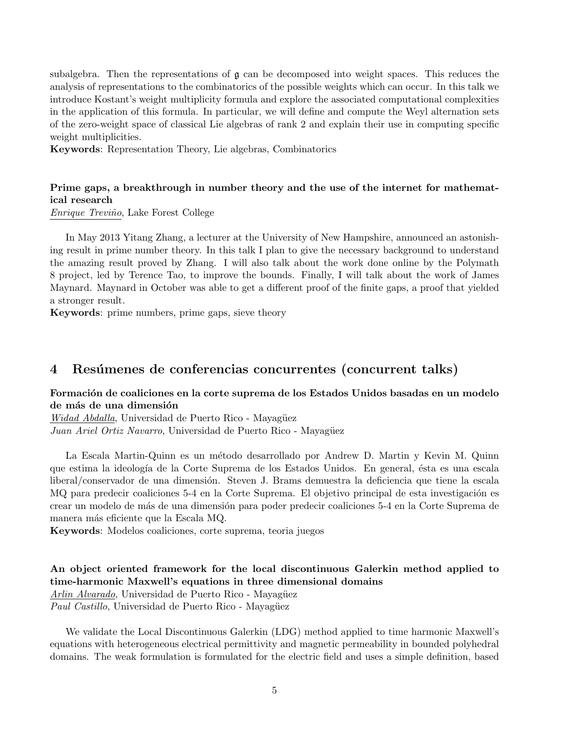subalgebra. Then the representations of g can be decomposed into weight spaces. This reduces the analysis of representations to the combinatorics of the possible weights which can occur. In this talk we introduce Kostant's weight multiplicity formula and explore the associated computational complexities in the application of this formula. In particular, we will define and compute the Weyl alternation sets of the zero-weight space of classical Lie algebras of rank 2 and explain their use in computing specific weight multiplicities.

Keywords: Representation Theory, Lie algebras, Combinatorics

## Prime gaps, a breakthrough in number theory and the use of the internet for mathematical research

Enrique Treviño, Lake Forest College

In May 2013 Yitang Zhang, a lecturer at the University of New Hampshire, announced an astonishing result in prime number theory. In this talk I plan to give the necessary background to understand the amazing result proved by Zhang. I will also talk about the work done online by the Polymath 8 project, led by Terence Tao, to improve the bounds. Finally, I will talk about the work of James Maynard. Maynard in October was able to get a different proof of the finite gaps, a proof that yielded a stronger result.

Keywords: prime numbers, prime gaps, sieve theory

## 4 Resúmenes de conferencias concurrentes (concurrent talks)

#### Formación de coaliciones en la corte suprema de los Estados Unidos basadas en un modelo de más de una dimensión

Widad Abdalla, Universidad de Puerto Rico - Mayagüez Juan Ariel Ortiz Navarro, Universidad de Puerto Rico - Mayagüez

La Escala Martin-Quinn es un método desarrollado por Andrew D. Martin y Kevin M. Quinn que estima la ideología de la Corte Suprema de los Estados Unidos. En general, ésta es una escala liberal/conservador de una dimensión. Steven J. Brams demuestra la deficiencia que tiene la escala MQ para predecir coaliciones 5-4 en la Corte Suprema. El objetivo principal de esta investigación es crear un modelo de m´as de una dimensi´on para poder predecir coaliciones 5-4 en la Corte Suprema de manera más eficiente que la Escala MQ.

Keywords: Modelos coaliciones, corte suprema, teoria juegos

## An object oriented framework for the local discontinuous Galerkin method applied to time-harmonic Maxwell's equations in three dimensional domains

Arlin Alvarado, Universidad de Puerto Rico - Mayagüez Paul Castillo, Universidad de Puerto Rico - Mayagüez

We validate the Local Discontinuous Galerkin (LDG) method applied to time harmonic Maxwell's equations with heterogeneous electrical permittivity and magnetic permeability in bounded polyhedral domains. The weak formulation is formulated for the electric field and uses a simple definition, based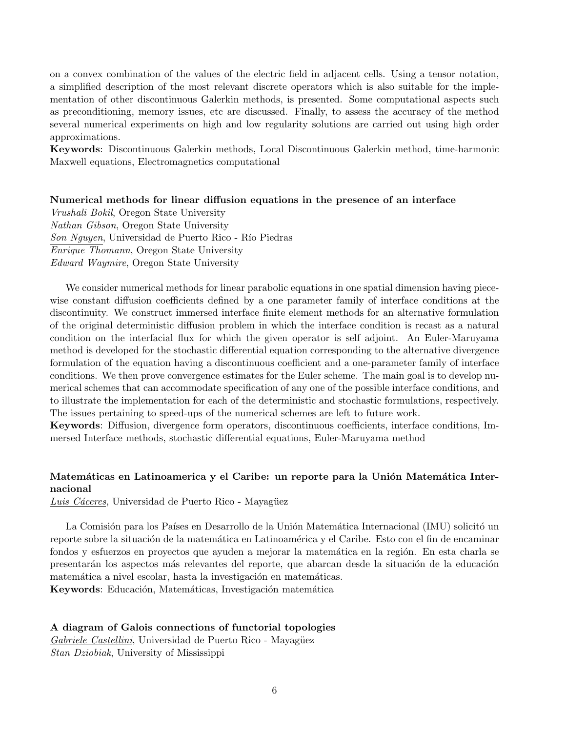on a convex combination of the values of the electric field in adjacent cells. Using a tensor notation, a simplified description of the most relevant discrete operators which is also suitable for the implementation of other discontinuous Galerkin methods, is presented. Some computational aspects such as preconditioning, memory issues, etc are discussed. Finally, to assess the accuracy of the method several numerical experiments on high and low regularity solutions are carried out using high order approximations.

Keywords: Discontinuous Galerkin methods, Local Discontinuous Galerkin method, time-harmonic Maxwell equations, Electromagnetics computational

#### Numerical methods for linear diffusion equations in the presence of an interface

Vrushali Bokil, Oregon State University Nathan Gibson, Oregon State University Son Nguyen, Universidad de Puerto Rico - Río Piedras Enrique Thomann, Oregon State University Edward Waymire, Oregon State University

We consider numerical methods for linear parabolic equations in one spatial dimension having piecewise constant diffusion coefficients defined by a one parameter family of interface conditions at the discontinuity. We construct immersed interface finite element methods for an alternative formulation of the original deterministic diffusion problem in which the interface condition is recast as a natural condition on the interfacial flux for which the given operator is self adjoint. An Euler-Maruyama method is developed for the stochastic differential equation corresponding to the alternative divergence formulation of the equation having a discontinuous coefficient and a one-parameter family of interface conditions. We then prove convergence estimates for the Euler scheme. The main goal is to develop numerical schemes that can accommodate specification of any one of the possible interface conditions, and to illustrate the implementation for each of the deterministic and stochastic formulations, respectively. The issues pertaining to speed-ups of the numerical schemes are left to future work.

Keywords: Diffusion, divergence form operators, discontinuous coefficients, interface conditions, Immersed Interface methods, stochastic differential equations, Euler-Maruyama method

## Matemáticas en Latinoamerica y el Caribe: un reporte para la Unión Matemática Internacional

Luis Cáceres, Universidad de Puerto Rico - Mayagüez

La Comisión para los Países en Desarrollo de la Unión Matemática Internacional (IMU) solicitó un reporte sobre la situación de la matemática en Latinoamérica y el Caribe. Esto con el fin de encaminar fondos y esfuerzos en proyectos que ayuden a mejorar la matemática en la región. En esta charla se presentarán los aspectos más relevantes del reporte, que abarcan desde la situación de la educación matemática a nivel escolar, hasta la investigación en matemáticas. Keywords: Educación, Matemáticas, Investigación matemática

#### A diagram of Galois connections of functorial topologies

Gabriele Castellini, Universidad de Puerto Rico - Mayagüez Stan Dziobiak, University of Mississippi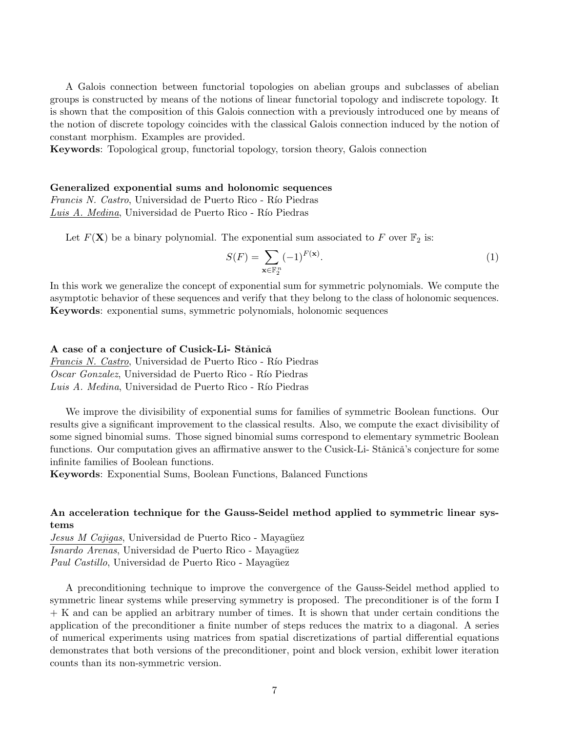A Galois connection between functorial topologies on abelian groups and subclasses of abelian groups is constructed by means of the notions of linear functorial topology and indiscrete topology. It is shown that the composition of this Galois connection with a previously introduced one by means of the notion of discrete topology coincides with the classical Galois connection induced by the notion of constant morphism. Examples are provided.

Keywords: Topological group, functorial topology, torsion theory, Galois connection

#### Generalized exponential sums and holonomic sequences

Francis N. Castro, Universidad de Puerto Rico - Río Piedras Luis A. Medina, Universidad de Puerto Rico - Río Piedras

Let  $F(\mathbf{X})$  be a binary polynomial. The exponential sum associated to F over  $\mathbb{F}_2$  is:

$$
S(F) = \sum_{\mathbf{x} \in \mathbb{F}_2^n} (-1)^{F(\mathbf{x})}.
$$
 (1)

In this work we generalize the concept of exponential sum for symmetric polynomials. We compute the asymptotic behavior of these sequences and verify that they belong to the class of holonomic sequences. Keywords: exponential sums, symmetric polynomials, holonomic sequences

#### A case of a conjecture of Cusick-Li- Stănică

Francis N. Castro, Universidad de Puerto Rico - Río Piedras Oscar Gonzalez, Universidad de Puerto Rico - Río Piedras Luis A. Medina, Universidad de Puerto Rico - Río Piedras

We improve the divisibility of exponential sums for families of symmetric Boolean functions. Our results give a significant improvement to the classical results. Also, we compute the exact divisibility of some signed binomial sums. Those signed binomial sums correspond to elementary symmetric Boolean functions. Our computation gives an affirmative answer to the Cusick-Li- Stǎnicǎ's conjecture for some infinite families of Boolean functions.

Keywords: Exponential Sums, Boolean Functions, Balanced Functions

## An acceleration technique for the Gauss-Seidel method applied to symmetric linear systems

Jesus M Cajigas, Universidad de Puerto Rico - Mayagüez Isnardo Arenas, Universidad de Puerto Rico - Mayagüez Paul Castillo, Universidad de Puerto Rico - Mayagüez

A preconditioning technique to improve the convergence of the Gauss-Seidel method applied to symmetric linear systems while preserving symmetry is proposed. The preconditioner is of the form I + K and can be applied an arbitrary number of times. It is shown that under certain conditions the application of the preconditioner a finite number of steps reduces the matrix to a diagonal. A series of numerical experiments using matrices from spatial discretizations of partial differential equations demonstrates that both versions of the preconditioner, point and block version, exhibit lower iteration counts than its non-symmetric version.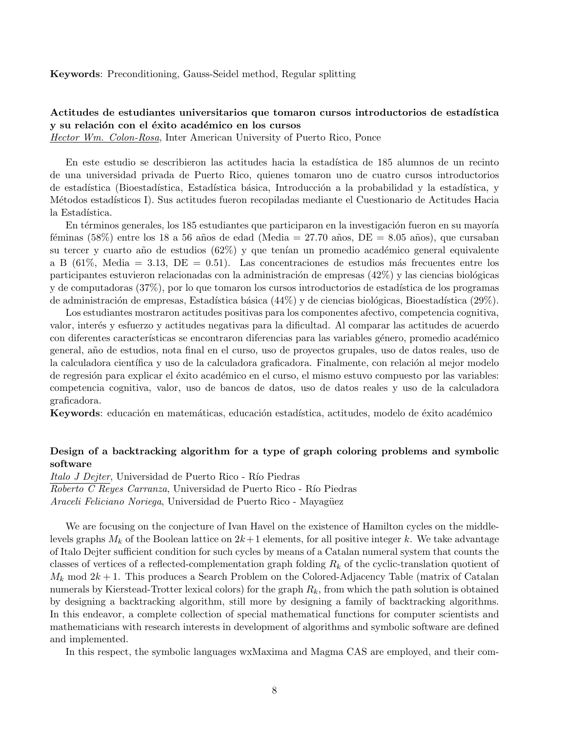Keywords: Preconditioning, Gauss-Seidel method, Regular splitting

## Actitudes de estudiantes universitarios que tomaron cursos introductorios de estadística y su relación con el éxito académico en los cursos

Hector Wm. Colon-Rosa, Inter American University of Puerto Rico, Ponce

En este estudio se describieron las actitudes hacia la estadística de 185 alumnos de un recinto de una universidad privada de Puerto Rico, quienes tomaron uno de cuatro cursos introductorios de estadística (Bioestadística, Estadística básica, Introducción a la probabilidad y la estadística, y M´etodos estad´ısticos I). Sus actitudes fueron recopiladas mediante el Cuestionario de Actitudes Hacia la Estadística.

En términos generales, los 185 estudiantes que participaron en la investigación fueron en su mayoría féminas (58%) entre los 18 a 56 años de edad (Media = 27.70 años, DE = 8.05 años), que cursaban su tercer y cuarto año de estudios  $(62\%)$  y que tenían un promedio académico general equivalente a B  $(61\%, \text{ Media} = 3.13, \text{DE} = 0.51)$ . Las concentraciones de estudios más frecuentes entre los participantes estuvieron relacionadas con la administración de empresas  $(42\%)$  y las ciencias biológicas y de computadoras  $(37\%)$ , por lo que tomaron los cursos introductorios de estadística de los programas de administración de empresas, Estadística básica  $(44\%)$  y de ciencias biológicas, Bioestadística  $(29\%)$ .

Los estudiantes mostraron actitudes positivas para los componentes afectivo, competencia cognitiva, valor, inter´es y esfuerzo y actitudes negativas para la dificultad. Al comparar las actitudes de acuerdo con diferentes características se encontraron diferencias para las variables género, promedio académico general, a˜no de estudios, nota final en el curso, uso de proyectos grupales, uso de datos reales, uso de la calculadora científica y uso de la calculadora graficadora. Finalmente, con relación al mejor modelo de regresión para explicar el éxito académico en el curso, el mismo estuvo compuesto por las variables: competencia cognitiva, valor, uso de bancos de datos, uso de datos reales y uso de la calculadora graficadora.

Keywords: educación en matemáticas, educación estadística, actitudes, modelo de éxito académico

### Design of a backtracking algorithm for a type of graph coloring problems and symbolic software

Italo J Dejter, Universidad de Puerto Rico - Río Piedras Roberto C Reyes Carranza, Universidad de Puerto Rico - Río Piedras Araceli Feliciano Noriega, Universidad de Puerto Rico - Mayagüez

We are focusing on the conjecture of Ivan Havel on the existence of Hamilton cycles on the middlelevels graphs  $M_k$  of the Boolean lattice on  $2k+1$  elements, for all positive integer k. We take advantage of Italo Dejter sufficient condition for such cycles by means of a Catalan numeral system that counts the classes of vertices of a reflected-complementation graph folding  $R_k$  of the cyclic-translation quotient of  $M_k$  mod  $2k+1$ . This produces a Search Problem on the Colored-Adjacency Table (matrix of Catalan numerals by Kierstead-Trotter lexical colors) for the graph  $R_k$ , from which the path solution is obtained by designing a backtracking algorithm, still more by designing a family of backtracking algorithms. In this endeavor, a complete collection of special mathematical functions for computer scientists and mathematicians with research interests in development of algorithms and symbolic software are defined and implemented.

In this respect, the symbolic languages wxMaxima and Magma CAS are employed, and their com-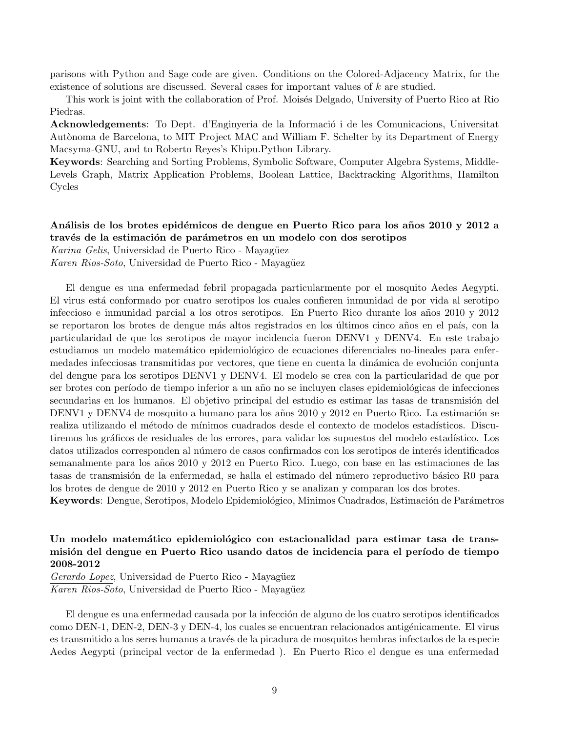parisons with Python and Sage code are given. Conditions on the Colored-Adjacency Matrix, for the existence of solutions are discussed. Several cases for important values of k are studied.

This work is joint with the collaboration of Prof. Moisés Delgado, University of Puerto Rico at Rio Piedras.

Acknowledgements: To Dept. d'Enginyeria de la Informació i de les Comunicacions, Universitat Autònoma de Barcelona, to MIT Project MAC and William F. Schelter by its Department of Energy Macsyma-GNU, and to Roberto Reyes's Khipu.Python Library.

Keywords: Searching and Sorting Problems, Symbolic Software, Computer Algebra Systems, Middle-Levels Graph, Matrix Application Problems, Boolean Lattice, Backtracking Algorithms, Hamilton Cycles

#### Análisis de los brotes epidémicos de dengue en Puerto Rico para los años 2010 y 2012 a través de la estimación de parámetros en un modelo con dos serotipos

Karina Gelis, Universidad de Puerto Rico - Mayagüez

Karen Rios-Soto, Universidad de Puerto Rico - Mayagüez

El dengue es una enfermedad febril propagada particularmente por el mosquito Aedes Aegypti. El virus está conformado por cuatro serotipos los cuales confieren inmunidad de por vida al serotipo infeccioso e inmunidad parcial a los otros serotipos. En Puerto Rico durante los años 2010 y 2012 se reportaron los brotes de dengue más altos registrados en los últimos cinco años en el país, con la particularidad de que los serotipos de mayor incidencia fueron DENV1 y DENV4. En este trabajo estudiamos un modelo matemático epidemiológico de ecuaciones diferenciales no-lineales para enfermedades infecciosas transmitidas por vectores, que tiene en cuenta la dinámica de evolución conjunta del dengue para los serotipos DENV1 y DENV4. El modelo se crea con la particularidad de que por ser brotes con período de tiempo inferior a un año no se incluyen clases epidemiológicas de infecciones secundarias en los humanos. El objetivo principal del estudio es estimar las tasas de transmisión del DENV1 y DENV4 de mosquito a humano para los años 2010 y 2012 en Puerto Rico. La estimación se realiza utilizando el método de mínimos cuadrados desde el contexto de modelos estadísticos. Discutiremos los gráficos de residuales de los errores, para validar los supuestos del modelo estadístico. Los datos utilizados corresponden al número de casos confirmados con los serotipos de interés identificados semanalmente para los años 2010 y 2012 en Puerto Rico. Luego, con base en las estimaciones de las tasas de transmisión de la enfermedad, se halla el estimado del número reproductivo básico R0 para los brotes de dengue de 2010 y 2012 en Puerto Rico y se analizan y comparan los dos brotes.

Keywords: Dengue, Serotipos, Modelo Epidemiológico, Minimos Cuadrados, Estimación de Parámetros

## Un modelo matemático epidemiológico con estacionalidad para estimar tasa de transmisión del dengue en Puerto Rico usando datos de incidencia para el período de tiempo 2008-2012

Gerardo Lopez, Universidad de Puerto Rico - Mayagüez Karen Rios-Soto, Universidad de Puerto Rico - Mayagüez

El dengue es una enfermedad causada por la infección de alguno de los cuatro serotipos identificados como DEN-1, DEN-2, DEN-3 y DEN-4, los cuales se encuentran relacionados antigénicamente. El virus es transmitido a los seres humanos a través de la picadura de mosquitos hembras infectados de la especie Aedes Aegypti (principal vector de la enfermedad ). En Puerto Rico el dengue es una enfermedad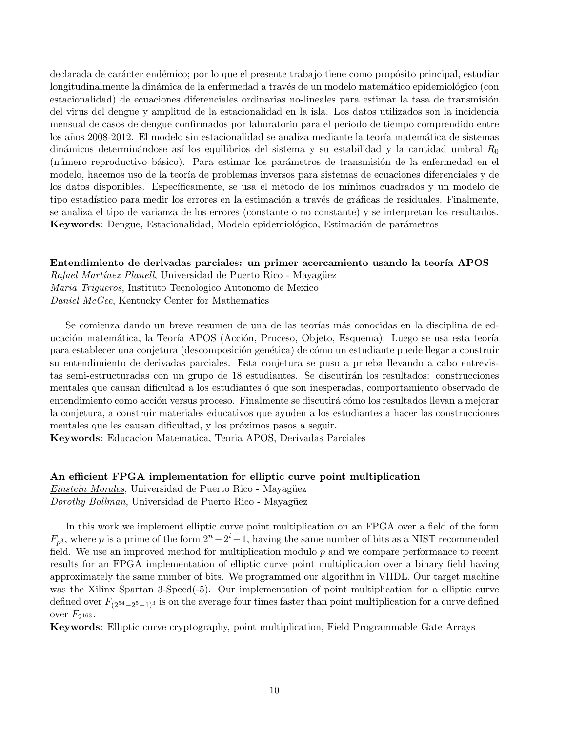declarada de carácter endémico; por lo que el presente trabajo tiene como propósito principal, estudiar longitudinalmente la dinámica de la enfermedad a través de un modelo matemático epidemiológico (con estacionalidad) de ecuaciones diferenciales ordinarias no-lineales para estimar la tasa de transmisión del virus del dengue y amplitud de la estacionalidad en la isla. Los datos utilizados son la incidencia mensual de casos de dengue confirmados por laboratorio para el periodo de tiempo comprendido entre los años 2008-2012. El modelo sin estacionalidad se analiza mediante la teoría matemática de sistemas dinámicos determinándose así los equilibrios del sistema y su estabilidad y la cantidad umbral  $R_0$ (número reproductivo básico). Para estimar los parámetros de transmisión de la enfermedad en el modelo, hacemos uso de la teoría de problemas inversos para sistemas de ecuaciones diferenciales y de los datos disponibles. Específicamente, se usa el método de los mínimos cuadrados y un modelo de tipo estadístico para medir los errores en la estimación a través de gráficas de residuales. Finalmente, se analiza el tipo de varianza de los errores (constante o no constante) y se interpretan los resultados. Keywords: Dengue, Estacionalidad, Modelo epidemiológico, Estimación de parámetros

#### Entendimiento de derivadas parciales: un primer acercamiento usando la teoría APOS

Rafael Martínez Planell, Universidad de Puerto Rico - Mayagüez Maria Trigueros, Instituto Tecnologico Autonomo de Mexico Daniel McGee, Kentucky Center for Mathematics

Se comienza dando un breve resumen de una de las teorías más conocidas en la disciplina de educación matemática, la Teoría APOS (Acción, Proceso, Objeto, Esquema). Luego se usa esta teoría para establecer una conjetura (descomposición genética) de cómo un estudiante puede llegar a construir su entendimiento de derivadas parciales. Esta conjetura se puso a prueba llevando a cabo entrevistas semi-estructuradas con un grupo de 18 estudiantes. Se discutirán los resultados: construcciones mentales que causan dificultad a los estudiantes ó que son inesperadas, comportamiento observado de entendimiento como acción versus proceso. Finalmente se discutirá cómo los resultados llevan a mejorar la conjetura, a construir materiales educativos que ayuden a los estudiantes a hacer las construcciones mentales que les causan dificultad, y los próximos pasos a seguir.

Keywords: Educacion Matematica, Teoria APOS, Derivadas Parciales

## An efficient FPGA implementation for elliptic curve point multiplication Einstein Morales, Universidad de Puerto Rico - Mayagüez Dorothy Bollman, Universidad de Puerto Rico - Mayagüez

In this work we implement elliptic curve point multiplication on an FPGA over a field of the form  $F_{p^3}$ , where p is a prime of the form  $2^n - 2^i - 1$ , having the same number of bits as a NIST recommended field. We use an improved method for multiplication modulo  $p$  and we compare performance to recent results for an FPGA implementation of elliptic curve point multiplication over a binary field having approximately the same number of bits. We programmed our algorithm in VHDL. Our target machine was the Xilinx Spartan 3-Speed(-5). Our implementation of point multiplication for a elliptic curve defined over  $F_{(2^{54}-2^{5}-1)^3}$  is on the average four times faster than point multiplication for a curve defined over  $F_{2^{163}}$ .

Keywords: Elliptic curve cryptography, point multiplication, Field Programmable Gate Arrays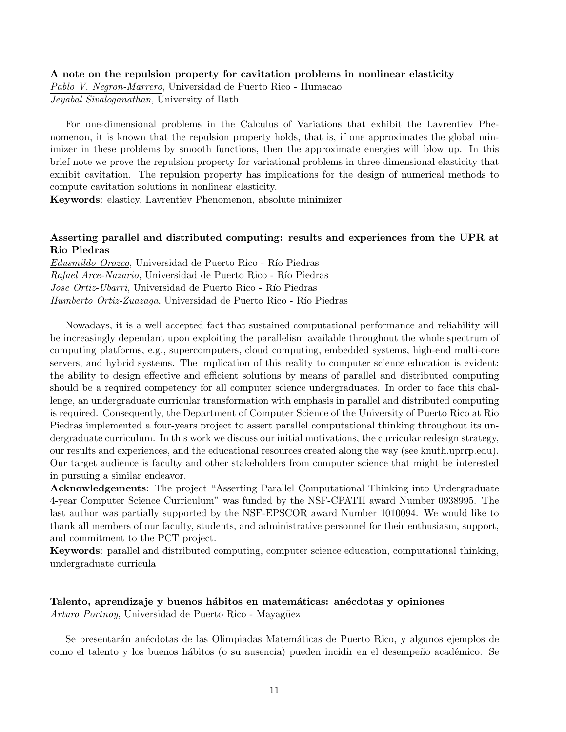#### A note on the repulsion property for cavitation problems in nonlinear elasticity

Pablo V. Negron-Marrero, Universidad de Puerto Rico - Humacao Jeyabal Sivaloganathan, University of Bath

For one-dimensional problems in the Calculus of Variations that exhibit the Lavrentiev Phenomenon, it is known that the repulsion property holds, that is, if one approximates the global minimizer in these problems by smooth functions, then the approximate energies will blow up. In this brief note we prove the repulsion property for variational problems in three dimensional elasticity that exhibit cavitation. The repulsion property has implications for the design of numerical methods to compute cavitation solutions in nonlinear elasticity.

Keywords: elasticy, Lavrentiev Phenomenon, absolute minimizer

## Asserting parallel and distributed computing: results and experiences from the UPR at Rio Piedras

Edusmildo Orozco, Universidad de Puerto Rico - Río Piedras Rafael Arce-Nazario, Universidad de Puerto Rico - Río Piedras Jose Ortiz-Ubarri, Universidad de Puerto Rico - Río Piedras Humberto Ortiz-Zuazaga, Universidad de Puerto Rico - Río Piedras

Nowadays, it is a well accepted fact that sustained computational performance and reliability will be increasingly dependant upon exploiting the parallelism available throughout the whole spectrum of computing platforms, e.g., supercomputers, cloud computing, embedded systems, high-end multi-core servers, and hybrid systems. The implication of this reality to computer science education is evident: the ability to design effective and efficient solutions by means of parallel and distributed computing should be a required competency for all computer science undergraduates. In order to face this challenge, an undergraduate curricular transformation with emphasis in parallel and distributed computing is required. Consequently, the Department of Computer Science of the University of Puerto Rico at Rio Piedras implemented a four-years project to assert parallel computational thinking throughout its undergraduate curriculum. In this work we discuss our initial motivations, the curricular redesign strategy, our results and experiences, and the educational resources created along the way (see knuth.uprrp.edu). Our target audience is faculty and other stakeholders from computer science that might be interested in pursuing a similar endeavor.

Acknowledgements: The project "Asserting Parallel Computational Thinking into Undergraduate 4-year Computer Science Curriculum" was funded by the NSF-CPATH award Number 0938995. The last author was partially supported by the NSF-EPSCOR award Number 1010094. We would like to thank all members of our faculty, students, and administrative personnel for their enthusiasm, support, and commitment to the PCT project.

Keywords: parallel and distributed computing, computer science education, computational thinking, undergraduate curricula

## Talento, aprendizaje y buenos hábitos en matemáticas: anécdotas y opiniones Arturo Portnoy, Universidad de Puerto Rico - Mayagüez

Se presentarán anécdotas de las Olimpiadas Matemáticas de Puerto Rico, y algunos ejemplos de como el talento y los buenos hábitos (o su ausencia) pueden incidir en el desempeño académico. Se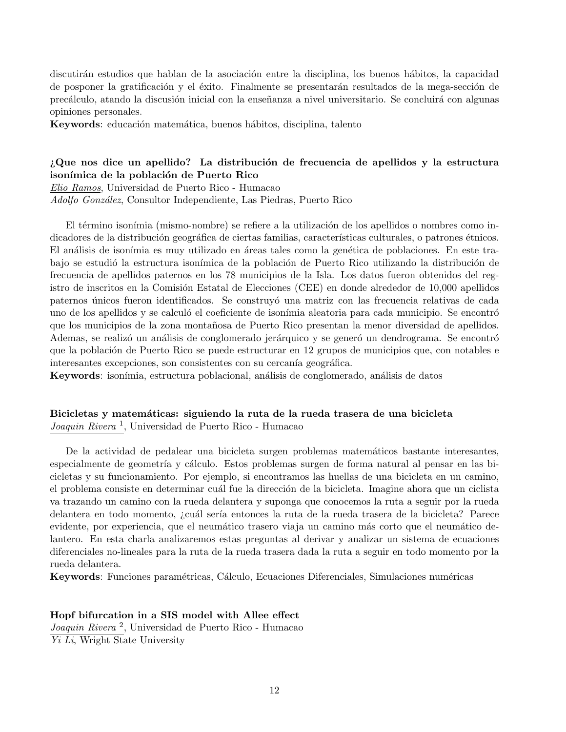discutirán estudios que hablan de la asociación entre la disciplina, los buenos hábitos, la capacidad de posponer la gratificación y el éxito. Finalmente se presentarán resultados de la mega-sección de precálculo, atando la discusión inicial con la enseñanza a nivel universitario. Se concluirá con algunas opiniones personales.

Keywords: educación matemática, buenos hábitos, disciplina, talento

## $i$ Que nos dice un apellido? La distribución de frecuencia de apellidos y la estructura isonímica de la población de Puerto Rico

Elio Ramos, Universidad de Puerto Rico - Humacao Adolfo González, Consultor Independiente, Las Piedras, Puerto Rico

El término isonímia (mismo-nombre) se refiere a la utilización de los apellidos o nombres como indicadores de la distribución geográfica de ciertas familias, características culturales, o patrones étnicos. El análisis de isonímia es muy utilizado en áreas tales como la genética de poblaciones. En este trabajo se estudió la estructura isonímica de la población de Puerto Rico utilizando la distribución de frecuencia de apellidos paternos en los 78 municipios de la Isla. Los datos fueron obtenidos del registro de inscritos en la Comisión Estatal de Elecciones (CEE) en donde alrededor de 10,000 apellidos paternos únicos fueron identificados. Se construyó una matriz con las frecuencia relativas de cada uno de los apellidos y se calculó el coeficiente de isonímia aleatoria para cada municipio. Se encontró que los municipios de la zona montañosa de Puerto Rico presentan la menor diversidad de apellidos. Ademas, se realizó un análisis de conglomerado jerárquico y se generó un dendrograma. Se encontró que la población de Puerto Rico se puede estructurar en 12 grupos de municipios que, con notables e interesantes excepciones, son consistentes con su cercanía geográfica.

Keywords: isonímia, estructura poblacional, análisis de conglomerado, análisis de datos

#### Bicicletas y matemáticas: siguiendo la ruta de la rueda trasera de una bicicleta Joaquin Rivera<sup>1</sup>, Universidad de Puerto Rico - Humacao

De la actividad de pedalear una bicicleta surgen problemas matemáticos bastante interesantes, especialmente de geometría y cálculo. Estos problemas surgen de forma natural al pensar en las bicicletas y su funcionamiento. Por ejemplo, si encontramos las huellas de una bicicleta en un camino, el problema consiste en determinar cuál fue la dirección de la bicicleta. Imagine ahora que un ciclista va trazando un camino con la rueda delantera y suponga que conocemos la ruta a seguir por la rueda delantera en todo momento, ¿cuál sería entonces la ruta de la rueda trasera de la bicicleta? Parece evidente, por experiencia, que el neumático trasero viaja un camino más corto que el neumático delantero. En esta charla analizaremos estas preguntas al derivar y analizar un sistema de ecuaciones diferenciales no-lineales para la ruta de la rueda trasera dada la ruta a seguir en todo momento por la rueda delantera.

Keywords: Funciones paramétricas, Cálculo, Ecuaciones Diferenciales, Simulaciones numéricas

## Hopf bifurcation in a SIS model with Allee effect

Joaquin Rivera <sup>2</sup> , Universidad de Puerto Rico - Humacao Yi Li, Wright State University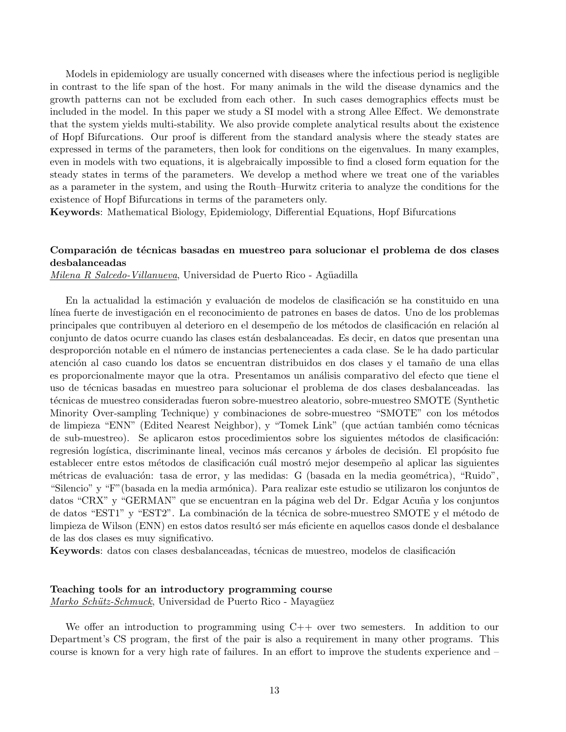Models in epidemiology are usually concerned with diseases where the infectious period is negligible in contrast to the life span of the host. For many animals in the wild the disease dynamics and the growth patterns can not be excluded from each other. In such cases demographics effects must be included in the model. In this paper we study a SI model with a strong Allee Effect. We demonstrate that the system yields multi-stability. We also provide complete analytical results about the existence of Hopf Bifurcations. Our proof is different from the standard analysis where the steady states are expressed in terms of the parameters, then look for conditions on the eigenvalues. In many examples, even in models with two equations, it is algebraically impossible to find a closed form equation for the steady states in terms of the parameters. We develop a method where we treat one of the variables as a parameter in the system, and using the Routh–Hurwitz criteria to analyze the conditions for the existence of Hopf Bifurcations in terms of the parameters only.

Keywords: Mathematical Biology, Epidemiology, Differential Equations, Hopf Bifurcations

#### Comparación de técnicas basadas en muestreo para solucionar el problema de dos clases desbalanceadas

*Milena R Salcedo-Villanueva*, Universidad de Puerto Rico - Agüadilla

En la actualidad la estimación y evaluación de modelos de clasificación se ha constituido en una línea fuerte de investigación en el reconocimiento de patrones en bases de datos. Uno de los problemas principales que contribuyen al deterioro en el desempeño de los métodos de clasificación en relación al conjunto de datos ocurre cuando las clases están desbalanceadas. Es decir, en datos que presentan una desproporción notable en el número de instancias pertenecientes a cada clase. Se le ha dado particular atención al caso cuando los datos se encuentran distribuidos en dos clases y el tamaño de una ellas es proporcionalmente mayor que la otra. Presentamos un an´alisis comparativo del efecto que tiene el uso de t´ecnicas basadas en muestreo para solucionar el problema de dos clases desbalanceadas. las técnicas de muestreo consideradas fueron sobre-muestreo aleatorio, sobre-muestreo SMOTE (Synthetic Minority Over-sampling Technique) y combinaciones de sobre-muestreo "SMOTE" con los métodos de limpieza "ENN" (Edited Nearest Neighbor), y "Tomek Link" (que actúan también como técnicas de sub-muestreo). Se aplicaron estos procedimientos sobre los siguientes métodos de clasificación: regresión logística, discriminante lineal, vecinos más cercanos y árboles de decisión. El propósito fue establecer entre estos métodos de clasificación cuál mostró mejor desempeño al aplicar las siguientes métricas de evaluación: tasa de error, y las medidas: G (basada en la media geométrica), "Ruido", "Silencio" y "F" (basada en la media armónica). Para realizar este estudio se utilizaron los conjuntos de datos "CRX" y "GERMAN" que se encuentran en la página web del Dr. Edgar Acuña y los conjuntos de datos "EST1" y "EST2". La combinación de la técnica de sobre-muestreo SMOTE y el método de limpieza de Wilson (ENN) en estos datos resultó ser más eficiente en aquellos casos donde el desbalance de las dos clases es muy significativo.

Keywords: datos con clases desbalanceadas, técnicas de muestreo, modelos de clasificación

#### Teaching tools for an introductory programming course

Marko Schütz-Schmuck, Universidad de Puerto Rico - Mayagüez

We offer an introduction to programming using  $C++$  over two semesters. In addition to our Department's CS program, the first of the pair is also a requirement in many other programs. This course is known for a very high rate of failures. In an effort to improve the students experience and –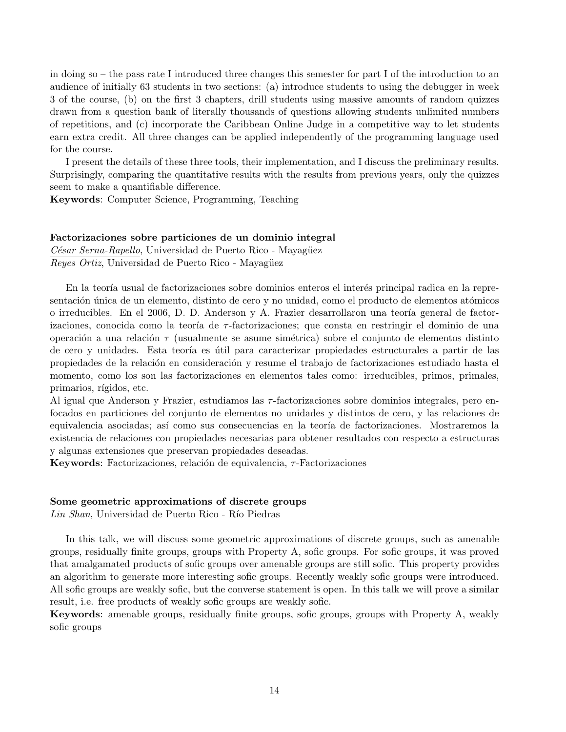in doing so – the pass rate I introduced three changes this semester for part I of the introduction to an audience of initially 63 students in two sections: (a) introduce students to using the debugger in week 3 of the course, (b) on the first 3 chapters, drill students using massive amounts of random quizzes drawn from a question bank of literally thousands of questions allowing students unlimited numbers of repetitions, and (c) incorporate the Caribbean Online Judge in a competitive way to let students earn extra credit. All three changes can be applied independently of the programming language used for the course.

I present the details of these three tools, their implementation, and I discuss the preliminary results. Surprisingly, comparing the quantitative results with the results from previous years, only the quizzes seem to make a quantifiable difference.

Keywords: Computer Science, Programming, Teaching

#### Factorizaciones sobre particiones de un dominio integral

César Serna-Rapello, Universidad de Puerto Rico - Mayagüez Reyes Ortiz, Universidad de Puerto Rico - Mayagüez

En la teoría usual de factorizaciones sobre dominios enteros el interés principal radica en la representación única de un elemento, distinto de cero y no unidad, como el producto de elementos atómicos o irreducibles. En el 2006, D. D. Anderson y A. Frazier desarrollaron una teoría general de factorizaciones, conocida como la teoría de  $\tau$ -factorizaciones; que consta en restringir el dominio de una operación a una relación  $\tau$  (usualmente se asume simétrica) sobre el conjunto de elementos distinto de cero y unidades. Esta teoría es útil para caracterizar propiedades estructurales a partir de las propiedades de la relación en consideración y resume el trabajo de factorizaciones estudiado hasta el momento, como los son las factorizaciones en elementos tales como: irreducibles, primos, primales, primarios, rígidos, etc.

Al igual que Anderson y Frazier, estudiamos las τ-factorizaciones sobre dominios integrales, pero enfocados en particiones del conjunto de elementos no unidades y distintos de cero, y las relaciones de equivalencia asociadas; así como sus consecuencias en la teoría de factorizaciones. Mostraremos la existencia de relaciones con propiedades necesarias para obtener resultados con respecto a estructuras y algunas extensiones que preservan propiedades deseadas.

Keywords: Factorizaciones, relación de equivalencia,  $\tau$ -Factorizaciones

#### Some geometric approximations of discrete groups

Lin Shan, Universidad de Puerto Rico - Río Piedras

In this talk, we will discuss some geometric approximations of discrete groups, such as amenable groups, residually finite groups, groups with Property A, sofic groups. For sofic groups, it was proved that amalgamated products of sofic groups over amenable groups are still sofic. This property provides an algorithm to generate more interesting sofic groups. Recently weakly sofic groups were introduced. All sofic groups are weakly sofic, but the converse statement is open. In this talk we will prove a similar result, i.e. free products of weakly sofic groups are weakly sofic.

Keywords: amenable groups, residually finite groups, sofic groups, groups with Property A, weakly sofic groups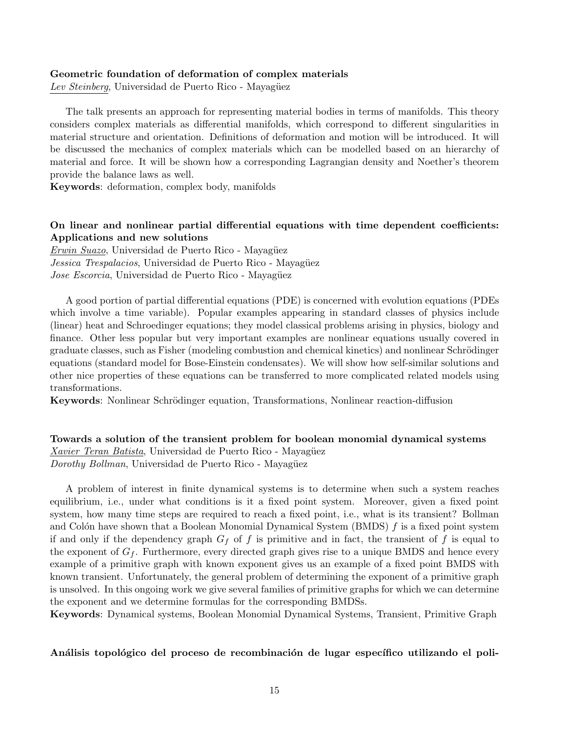#### Geometric foundation of deformation of complex materials

Lev Steinberg, Universidad de Puerto Rico - Mayagüez

The talk presents an approach for representing material bodies in terms of manifolds. This theory considers complex materials as differential manifolds, which correspond to different singularities in material structure and orientation. Definitions of deformation and motion will be introduced. It will be discussed the mechanics of complex materials which can be modelled based on an hierarchy of material and force. It will be shown how a corresponding Lagrangian density and Noether's theorem provide the balance laws as well.

Keywords: deformation, complex body, manifolds

#### On linear and nonlinear partial differential equations with time dependent coefficients: Applications and new solutions

Erwin Suazo, Universidad de Puerto Rico - Mayagüez Jessica Trespalacios, Universidad de Puerto Rico - Mayagüez Jose Escorcia, Universidad de Puerto Rico - Mayagüez

A good portion of partial differential equations (PDE) is concerned with evolution equations (PDEs which involve a time variable). Popular examples appearing in standard classes of physics include (linear) heat and Schroedinger equations; they model classical problems arising in physics, biology and finance. Other less popular but very important examples are nonlinear equations usually covered in graduate classes, such as Fisher (modeling combustion and chemical kinetics) and nonlinear Schrödinger equations (standard model for Bose-Einstein condensates). We will show how self-similar solutions and other nice properties of these equations can be transferred to more complicated related models using transformations.

Keywords: Nonlinear Schrödinger equation, Transformations, Nonlinear reaction-diffusion

Towards a solution of the transient problem for boolean monomial dynamical systems Xavier Teran Batista, Universidad de Puerto Rico - Mayagüez Dorothy Bollman, Universidad de Puerto Rico - Mayagüez

A problem of interest in finite dynamical systems is to determine when such a system reaches equilibrium, i.e., under what conditions is it a fixed point system. Moreover, given a fixed point system, how many time steps are required to reach a fixed point, i.e., what is its transient? Bollman and Colón have shown that a Boolean Monomial Dynamical System (BMDS)  $f$  is a fixed point system if and only if the dependency graph  $G_f$  of f is primitive and in fact, the transient of f is equal to the exponent of  $G_f$ . Furthermore, every directed graph gives rise to a unique BMDS and hence every example of a primitive graph with known exponent gives us an example of a fixed point BMDS with known transient. Unfortunately, the general problem of determining the exponent of a primitive graph is unsolved. In this ongoing work we give several families of primitive graphs for which we can determine the exponent and we determine formulas for the corresponding BMDSs.

Keywords: Dynamical systems, Boolean Monomial Dynamical Systems, Transient, Primitive Graph

#### Análisis topológico del proceso de recombinación de lugar específico utilizando el poli-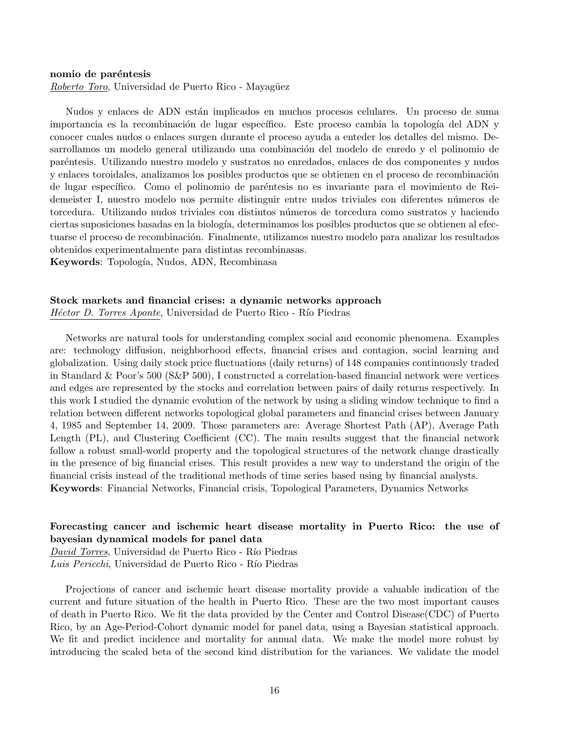#### nomio de paréntesis

Roberto Toro, Universidad de Puerto Rico - Mayagüez

Nudos y enlaces de ADN están implicados en muchos procesos celulares. Un proceso de suma importancia es la recombinación de lugar específico. Este proceso cambia la topología del ADN y conocer cuales nudos o enlaces surgen durante el proceso ayuda a enteder los detalles del mismo. Desarrollamos un modelo general utilizando una combinación del modelo de enredo y el polinomio de par´entesis. Utilizando nuestro modelo y sustratos no enredados, enlaces de dos componentes y nudos y enlaces toroidales, analizamos los posibles productos que se obtienen en el proceso de recombinación de lugar específico. Como el polinomio de paréntesis no es invariante para el movimiento de Reidemeister I, nuestro modelo nos permite distinguir entre nudos triviales con diferentes n´umeros de torcedura. Utilizando nudos triviales con distintos n´umeros de torcedura como sustratos y haciendo ciertas suposiciones basadas en la biología, determinamos los posibles productos que se obtienen al efectuarse el proceso de recombinación. Finalmente, utilizamos nuestro modelo para analizar los resultados obtenidos experimentalmente para distintas recombinasas.

Keywords: Topología, Nudos, ADN, Recombinasa

#### Stock markets and financial crises: a dynamic networks approach

Héctor D. Torres Aponte, Universidad de Puerto Rico - Río Piedras

Networks are natural tools for understanding complex social and economic phenomena. Examples are: technology diffusion, neighborhood effects, financial crises and contagion, social learning and globalization. Using daily stock price fluctuations (daily returns) of 148 companies continuously traded in Standard & Poor's 500 (S&P 500), I constructed a correlation-based financial network were vertices and edges are represented by the stocks and correlation between pairs of daily returns respectively. In this work I studied the dynamic evolution of the network by using a sliding window technique to find a relation between different networks topological global parameters and financial crises between January 4, 1985 and September 14, 2009. Those parameters are: Average Shortest Path (AP), Average Path Length (PL), and Clustering Coefficient (CC). The main results suggest that the financial network follow a robust small-world property and the topological structures of the network change drastically in the presence of big financial crises. This result provides a new way to understand the origin of the financial crisis instead of the traditional methods of time series based using by financial analysts. Keywords: Financial Networks, Financial crisis, Topological Parameters, Dynamics Networks

## Forecasting cancer and ischemic heart disease mortality in Puerto Rico: the use of bayesian dynamical models for panel data

David Torres, Universidad de Puerto Rico - Río Piedras Luis Pericchi, Universidad de Puerto Rico - Río Piedras

Projections of cancer and ischemic heart disease mortality provide a valuable indication of the current and future situation of the health in Puerto Rico. These are the two most important causes of death in Puerto Rico. We fit the data provided by the Center and Control Disease(CDC) of Puerto Rico, by an Age-Period-Cohort dynamic model for panel data, using a Bayesian statistical approach. We fit and predict incidence and mortality for annual data. We make the model more robust by introducing the scaled beta of the second kind distribution for the variances. We validate the model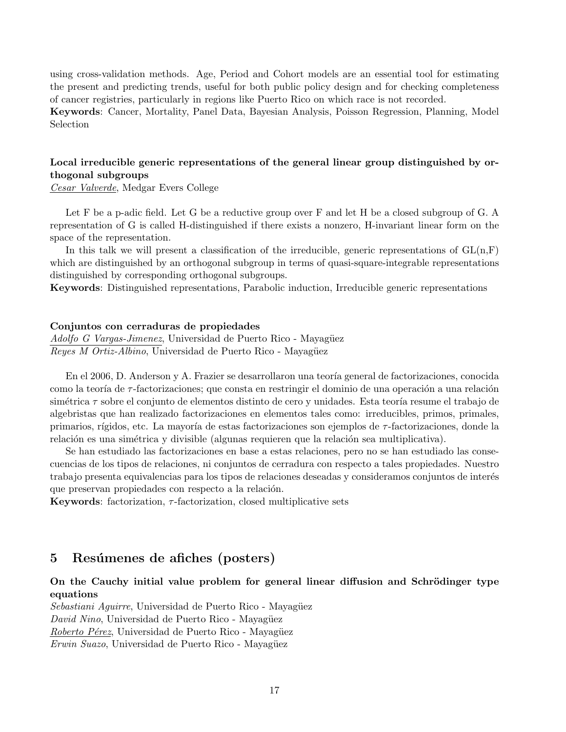using cross-validation methods. Age, Period and Cohort models are an essential tool for estimating the present and predicting trends, useful for both public policy design and for checking completeness of cancer registries, particularly in regions like Puerto Rico on which race is not recorded.

Keywords: Cancer, Mortality, Panel Data, Bayesian Analysis, Poisson Regression, Planning, Model Selection

## Local irreducible generic representations of the general linear group distinguished by orthogonal subgroups

Cesar Valverde, Medgar Evers College

Let F be a p-adic field. Let G be a reductive group over F and let H be a closed subgroup of G. A representation of G is called H-distinguished if there exists a nonzero, H-invariant linear form on the space of the representation.

In this talk we will present a classification of the irreducible, generic representations of  $GL(n,F)$ which are distinguished by an orthogonal subgroup in terms of quasi-square-integrable representations distinguished by corresponding orthogonal subgroups.

Keywords: Distinguished representations, Parabolic induction, Irreducible generic representations

#### Conjuntos con cerraduras de propiedades

Adolfo G Vargas-Jimenez, Universidad de Puerto Rico - Mayagüez Reyes M Ortiz-Albino, Universidad de Puerto Rico - Mayagüez

En el 2006, D. Anderson y A. Frazier se desarrollaron una teoría general de factorizaciones, conocida como la teoría de  $\tau$ -factorizaciones; que consta en restringir el dominio de una operación a una relación simétrica  $\tau$  sobre el conjunto de elementos distinto de cero y unidades. Esta teoría resume el trabajo de algebristas que han realizado factorizaciones en elementos tales como: irreducibles, primos, primales, primarios, rígidos, etc. La mayoría de estas factorizaciones son ejemplos de τ-factorizaciones, donde la relación es una simétrica y divisible (algunas requieren que la relación sea multiplicativa).

Se han estudiado las factorizaciones en base a estas relaciones, pero no se han estudiado las consecuencias de los tipos de relaciones, ni conjuntos de cerradura con respecto a tales propiedades. Nuestro trabajo presenta equivalencias para los tipos de relaciones deseadas y consideramos conjuntos de interés que preservan propiedades con respecto a la relación.

**Keywords:** factorization,  $\tau$ -factorization, closed multiplicative sets

## 5 Resúmenes de afiches (posters)

## On the Cauchy initial value problem for general linear diffusion and Schrödinger type equations

Sebastiani Aguirre, Universidad de Puerto Rico - Mayagüez David Nino, Universidad de Puerto Rico - Mayagüez Roberto Pérez, Universidad de Puerto Rico - Mayagüez Erwin Suazo, Universidad de Puerto Rico - Mayagüez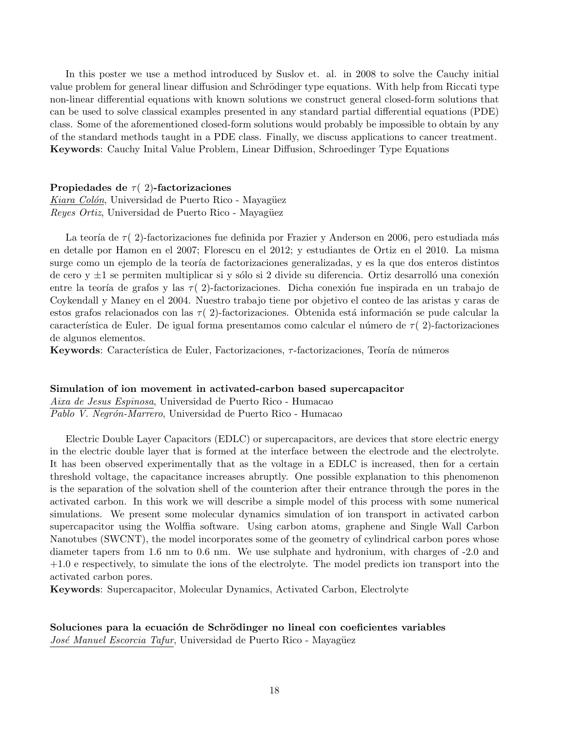In this poster we use a method introduced by Suslov et. al. in 2008 to solve the Cauchy initial value problem for general linear diffusion and Schrödinger type equations. With help from Riccati type non-linear differential equations with known solutions we construct general closed-form solutions that can be used to solve classical examples presented in any standard partial differential equations (PDE) class. Some of the aforementioned closed-form solutions would probably be impossible to obtain by any of the standard methods taught in a PDE class. Finally, we discuss applications to cancer treatment. Keywords: Cauchy Inital Value Problem, Linear Diffusion, Schroedinger Type Equations

#### Propiedades de  $\tau$  (2)-factorizaciones

Kiara Colón, Universidad de Puerto Rico - Mayagüez Reyes Ortiz, Universidad de Puerto Rico - Mayagüez

La teoría de  $\tau$  (2)-factorizaciones fue definida por Frazier y Anderson en 2006, pero estudiada más en detalle por Hamon en el 2007; Florescu en el 2012; y estudiantes de Ortiz en el 2010. La misma surge como un ejemplo de la teoría de factorizaciones generalizadas, y es la que dos enteros distintos de cero y  $\pm 1$  se permiten multiplicar si y sólo si 2 divide su diferencia. Ortiz desarrolló una conexión entre la teoría de grafos y las  $\tau(2)$ -factorizaciones. Dicha conexión fue inspirada en un trabajo de Coykendall y Maney en el 2004. Nuestro trabajo tiene por objetivo el conteo de las aristas y caras de estos grafos relacionados con las  $\tau(2)$ -factorizaciones. Obtenida está información se pude calcular la característica de Euler. De igual forma presentamos como calcular el número de  $\tau$  (2)-factorizaciones de algunos elementos.

Keywords: Característica de Euler, Factorizaciones,  $\tau$ -factorizaciones, Teoría de números

#### Simulation of ion movement in activated-carbon based supercapacitor

Aixa de Jesus Espinosa, Universidad de Puerto Rico - Humacao Pablo V. Negrón-Marrero, Universidad de Puerto Rico - Humacao

Electric Double Layer Capacitors (EDLC) or supercapacitors, are devices that store electric energy in the electric double layer that is formed at the interface between the electrode and the electrolyte. It has been observed experimentally that as the voltage in a EDLC is increased, then for a certain threshold voltage, the capacitance increases abruptly. One possible explanation to this phenomenon is the separation of the solvation shell of the counterion after their entrance through the pores in the activated carbon. In this work we will describe a simple model of this process with some numerical simulations. We present some molecular dynamics simulation of ion transport in activated carbon supercapacitor using the Wolffia software. Using carbon atoms, graphene and Single Wall Carbon Nanotubes (SWCNT), the model incorporates some of the geometry of cylindrical carbon pores whose diameter tapers from 1.6 nm to 0.6 nm. We use sulphate and hydronium, with charges of -2.0 and +1.0 e respectively, to simulate the ions of the electrolyte. The model predicts ion transport into the activated carbon pores.

Keywords: Supercapacitor, Molecular Dynamics, Activated Carbon, Electrolyte

#### Soluciones para la ecuación de Schrödinger no lineal con coeficientes variables José Manuel Escorcia Tafur, Universidad de Puerto Rico - Mayagüez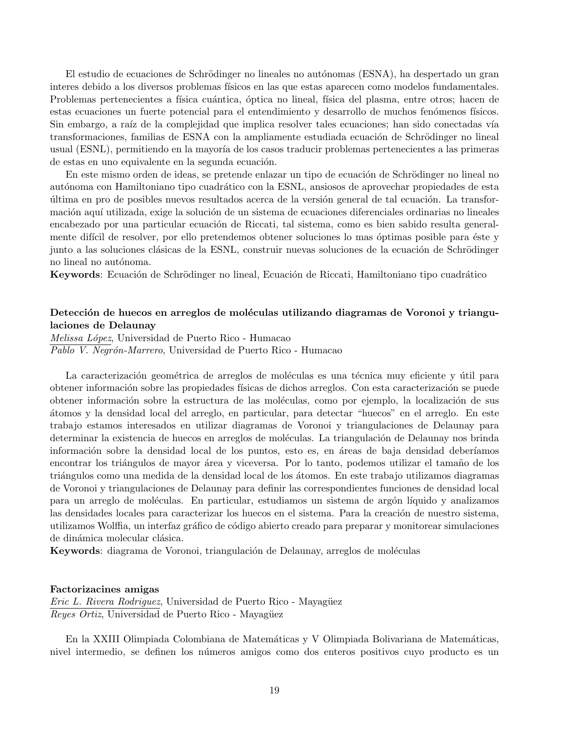El estudio de ecuaciones de Schrödinger no lineales no autónomas (ESNA), ha despertado un gran interes debido a los diversos problemas físicos en las que estas aparecen como modelos fundamentales. Problemas pertenecientes a física cuántica, óptica no lineal, física del plasma, entre otros; hacen de estas ecuaciones un fuerte potencial para el entendimiento y desarrollo de muchos fenómenos físicos. Sin embargo, a raíz de la complejidad que implica resolver tales ecuaciones; han sido conectadas vía transformaciones, familias de ESNA con la ampliamente estudiada ecuación de Schrödinger no lineal usual (ESNL), permitiendo en la mayoría de los casos traducir problemas pertenecientes a las primeras de estas en uno equivalente en la segunda ecuación.

En este mismo orden de ideas, se pretende enlazar un tipo de ecuación de Schrödinger no lineal no autónoma con Hamiltoniano tipo cuadrático con la ESNL, ansiosos de aprovechar propiedades de esta ´ultima en pro de posibles nuevos resultados acerca de la versi´on general de tal ecuaci´on. La transformación aquí utilizada, exige la solución de un sistema de ecuaciones diferenciales ordinarias no lineales encabezado por una particular ecuación de Riccati, tal sistema, como es bien sabido resulta generalmente difícil de resolver, por ello pretendemos obtener soluciones lo mas óptimas posible para éste y junto a las soluciones clásicas de la ESNL, construir nuevas soluciones de la ecuación de Schrödinger no lineal no autónoma.

Keywords: Ecuación de Schrödinger no lineal, Ecuación de Riccati, Hamiltoniano tipo cuadrático

## Detección de huecos en arreglos de moléculas utilizando diagramas de Voronoi y triangulaciones de Delaunay

Melissa López, Universidad de Puerto Rico - Humacao Pablo V. Negrón-Marrero, Universidad de Puerto Rico - Humacao

La caracterización geométrica de arreglos de moléculas es una técnica muy eficiente y útil para obtener información sobre las propiedades físicas de dichos arreglos. Con esta caracterización se puede obtener información sobre la estructura de las moléculas, como por ejemplo, la localización de sus ´atomos y la densidad local del arreglo, en particular, para detectar "huecos" en el arreglo. En este trabajo estamos interesados en utilizar diagramas de Voronoi y triangulaciones de Delaunay para determinar la existencia de huecos en arreglos de moléculas. La triangulación de Delaunay nos brinda información sobre la densidad local de los puntos, esto es, en áreas de baja densidad deberíamos encontrar los triángulos de mayor área y viceversa. Por lo tanto, podemos utilizar el tamaño de los triángulos como una medida de la densidad local de los átomos. En este trabajo utilizamos diagramas de Voronoi y triangulaciones de Delaunay para definir las correspondientes funciones de densidad local para un arreglo de moléculas. En particular, estudiamos un sistema de argón líquido y analizamos las densidades locales para caracterizar los huecos en el sistema. Para la creación de nuestro sistema, utilizamos Wolffia, un interfaz gráfico de código abierto creado para preparar y monitorear simulaciones de dinámica molecular clásica.

Keywords: diagrama de Voronoi, triangulación de Delaunay, arreglos de moléculas

#### Factorizacines amigas

Eric L. Rivera Rodriguez, Universidad de Puerto Rico - Mayagüez Reyes Ortiz, Universidad de Puerto Rico - Mayagüez

En la XXIII Olimpiada Colombiana de Matemáticas y V Olimpiada Bolivariana de Matemáticas, nivel intermedio, se definen los números amigos como dos enteros positivos cuyo producto es un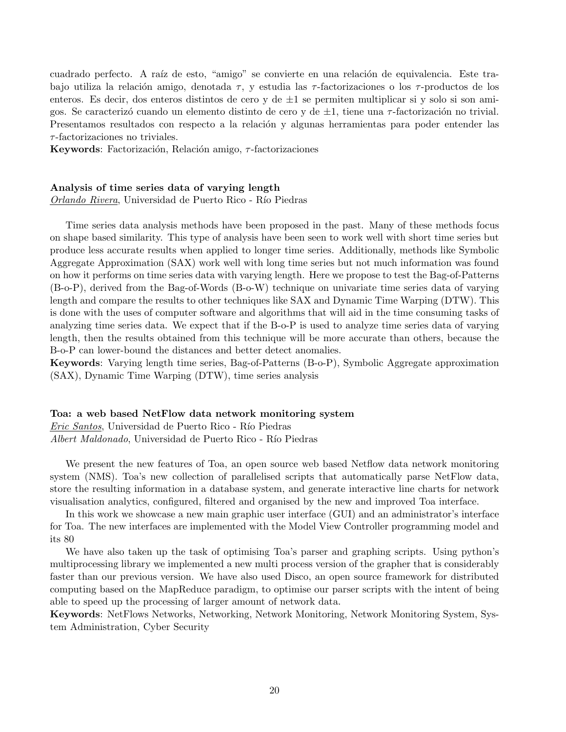cuadrado perfecto. A raíz de esto, "amigo" se convierte en una relación de equivalencia. Este trabajo utiliza la relación amigo, denotada  $\tau$ , y estudia las  $\tau$ -factorizaciones o los  $\tau$ -productos de los enteros. Es decir, dos enteros distintos de cero y de  $\pm 1$  se permiten multiplicar si y solo si son amigos. Se caracterizó cuando un elemento distinto de cero y de  $\pm 1$ , tiene una  $\tau$ -factorización no trivial. Presentamos resultados con respecto a la relación y algunas herramientas para poder entender las  $\tau$ -factorizaciones no triviales.

Keywords: Factorización, Relación amigo,  $\tau$ -factorizaciones

#### Analysis of time series data of varying length

Orlando Rivera, Universidad de Puerto Rico - Río Piedras

Time series data analysis methods have been proposed in the past. Many of these methods focus on shape based similarity. This type of analysis have been seen to work well with short time series but produce less accurate results when applied to longer time series. Additionally, methods like Symbolic Aggregate Approximation (SAX) work well with long time series but not much information was found on how it performs on time series data with varying length. Here we propose to test the Bag-of-Patterns (B-o-P), derived from the Bag-of-Words (B-o-W) technique on univariate time series data of varying length and compare the results to other techniques like SAX and Dynamic Time Warping (DTW). This is done with the uses of computer software and algorithms that will aid in the time consuming tasks of analyzing time series data. We expect that if the B-o-P is used to analyze time series data of varying length, then the results obtained from this technique will be more accurate than others, because the B-o-P can lower-bound the distances and better detect anomalies.

Keywords: Varying length time series, Bag-of-Patterns (B-o-P), Symbolic Aggregate approximation (SAX), Dynamic Time Warping (DTW), time series analysis

#### Toa: a web based NetFlow data network monitoring system

Eric Santos, Universidad de Puerto Rico - Río Piedras

Albert Maldonado, Universidad de Puerto Rico - Río Piedras

We present the new features of Toa, an open source web based Netflow data network monitoring system (NMS). Toa's new collection of parallelised scripts that automatically parse NetFlow data, store the resulting information in a database system, and generate interactive line charts for network visualisation analytics, configured, filtered and organised by the new and improved Toa interface.

In this work we showcase a new main graphic user interface (GUI) and an administrator's interface for Toa. The new interfaces are implemented with the Model View Controller programming model and its 80

We have also taken up the task of optimising Toa's parser and graphing scripts. Using python's multiprocessing library we implemented a new multi process version of the grapher that is considerably faster than our previous version. We have also used Disco, an open source framework for distributed computing based on the MapReduce paradigm, to optimise our parser scripts with the intent of being able to speed up the processing of larger amount of network data.

Keywords: NetFlows Networks, Networking, Network Monitoring, Network Monitoring System, System Administration, Cyber Security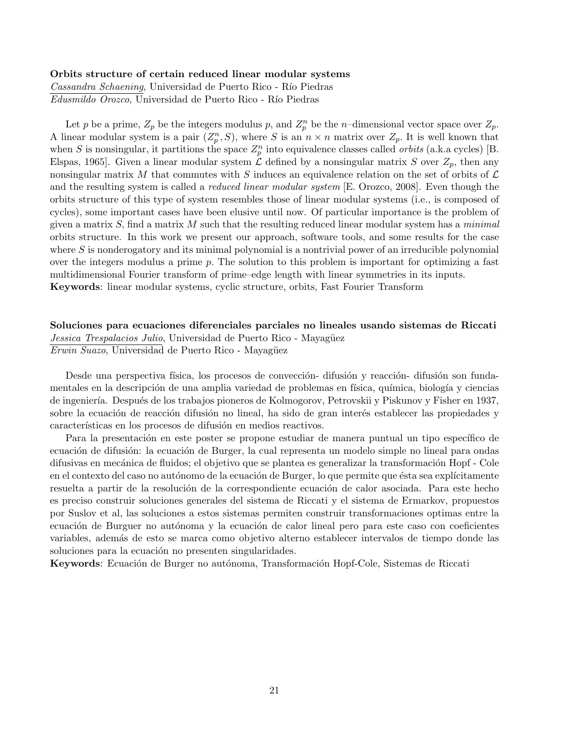#### Orbits structure of certain reduced linear modular systems

Cassandra Schaening, Universidad de Puerto Rico - Río Piedras Edusmildo Orozco, Universidad de Puerto Rico - Río Piedras

Let p be a prime,  $Z_p$  be the integers modulus p, and  $Z_p^n$  be the n-dimensional vector space over  $Z_p$ . A linear modular system is a pair  $(Z_p^n, S)$ , where S is an  $n \times n$  matrix over  $Z_p$ . It is well known that when S is nonsingular, it partitions the space  $Z_p^n$  into equivalence classes called *orbits* (a.k.a cycles) [B. Elspas, 1965. Given a linear modular system  $\mathcal L$  defined by a nonsingular matrix S over  $Z_p$ , then any nonsingular matrix M that commutes with S induces an equivalence relation on the set of orbits of  $\mathcal L$ and the resulting system is called a *reduced linear modular system* [E. Orozco, 2008]. Even though the orbits structure of this type of system resembles those of linear modular systems (i.e., is composed of cycles), some important cases have been elusive until now. Of particular importance is the problem of given a matrix  $S$ , find a matrix  $M$  such that the resulting reduced linear modular system has a *minimal* orbits structure. In this work we present our approach, software tools, and some results for the case where  $S$  is nonderogatory and its minimal polynomial is a nontrivial power of an irreducible polynomial over the integers modulus a prime p. The solution to this problem is important for optimizing a fast multidimensional Fourier transform of prime–edge length with linear symmetries in its inputs. Keywords: linear modular systems, cyclic structure, orbits, Fast Fourier Transform

## Soluciones para ecuaciones diferenciales parciales no lineales usando sistemas de Riccati Jessica Trespalacios Julio, Universidad de Puerto Rico - Mayagüez Erwin Suazo, Universidad de Puerto Rico - Mayagüez

Desde una perspectiva física, los procesos de convección- difusión y reacción- difusión son fundamentales en la descripción de una amplia variedad de problemas en física, química, biología y ciencias de ingeniería. Después de los trabajos pioneros de Kolmogorov, Petrovskii y Piskunov y Fisher en 1937, sobre la ecuación de reacción difusión no lineal, ha sido de gran interés establecer las propiedades y características en los procesos de difusión en medios reactivos.

Para la presentación en este poster se propone estudiar de manera puntual un tipo específico de ecuación de difusión: la ecuación de Burger, la cual representa un modelo simple no lineal para ondas difusivas en mecánica de fluidos; el objetivo que se plantea es generalizar la transformación Hopf - Cole en el contexto del caso no autónomo de la ecuación de Burger, lo que permite que ésta sea explícitamente resuelta a partir de la resolución de la correspondiente ecuación de calor asociada. Para este hecho es preciso construir soluciones generales del sistema de Riccati y el sistema de Ermarkov, propuestos por Suslov et al, las soluciones a estos sistemas permiten construir transformaciones optimas entre la ecuación de Burguer no autónoma y la ecuación de calor lineal pero para este caso con coeficientes variables, además de esto se marca como objetivo alterno establecer intervalos de tiempo donde las soluciones para la ecuación no presenten singularidades.

Keywords: Ecuación de Burger no autónoma, Transformación Hopf-Cole, Sistemas de Riccati